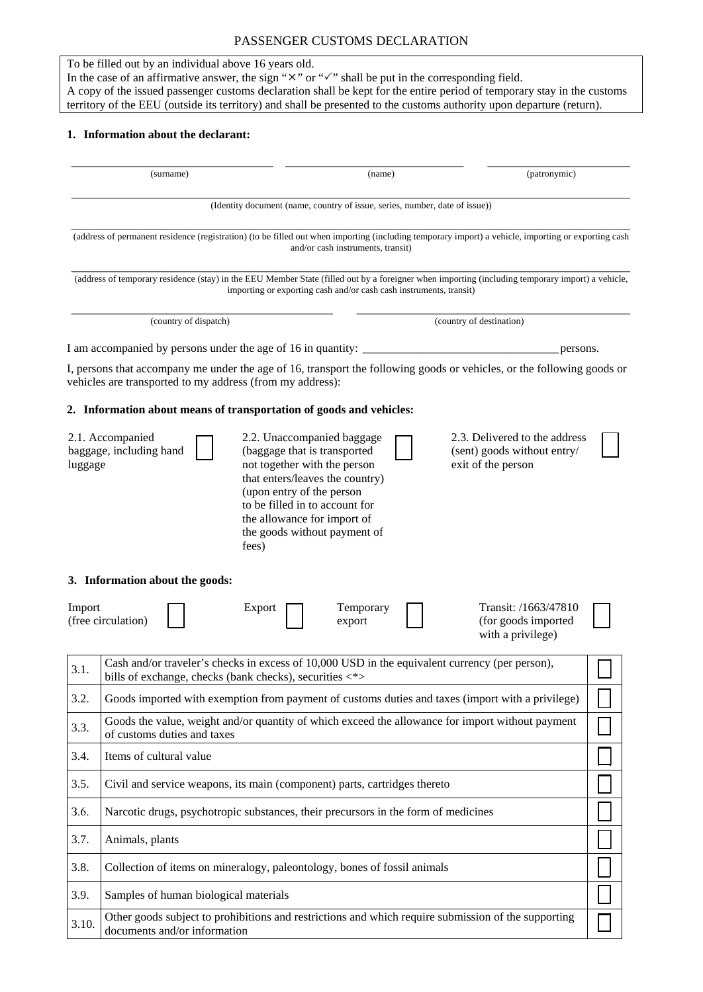## PASSENGER CUSTOMS DECLARATION

To be filled out by an individual above 16 years old.

In the case of an affirmative answer, the sign " $\times$ " or " $\checkmark$ " shall be put in the corresponding field. A copy of the issued passenger customs declaration shall be kept for the entire period of temporary stay in the customs territory of the EEU (outside its territory) and shall be presented to the customs authority upon departure (return).

## **1. Information about the declarant:**

| (surname) |                                                                                                                                 |                                                                                                                                                                                                                                                                      | (name) |                                                                                    | (patronymic) |  |
|-----------|---------------------------------------------------------------------------------------------------------------------------------|----------------------------------------------------------------------------------------------------------------------------------------------------------------------------------------------------------------------------------------------------------------------|--------|------------------------------------------------------------------------------------|--------------|--|
|           |                                                                                                                                 | (Identity document (name, country of issue, series, number, date of issue))                                                                                                                                                                                          |        |                                                                                    |              |  |
|           |                                                                                                                                 | (address of permanent residence (registration) (to be filled out when importing (including temporary import) a vehicle, importing or exporting cash<br>and/or cash instruments, transit)                                                                             |        |                                                                                    |              |  |
|           |                                                                                                                                 | (address of temporary residence (stay) in the EEU Member State (filled out by a foreigner when importing (including temporary import) a vehicle,<br>importing or exporting cash and/or cash cash instruments, transit)                                               |        |                                                                                    |              |  |
|           | (country of dispatch)                                                                                                           |                                                                                                                                                                                                                                                                      |        | (country of destination)                                                           |              |  |
|           |                                                                                                                                 | I am accompanied by persons under the age of 16 in quantity:                                                                                                                                                                                                         |        | persons.                                                                           |              |  |
|           | vehicles are transported to my address (from my address):                                                                       | I, persons that accompany me under the age of 16, transport the following goods or vehicles, or the following goods or                                                                                                                                               |        |                                                                                    |              |  |
|           |                                                                                                                                 | 2. Information about means of transportation of goods and vehicles:                                                                                                                                                                                                  |        |                                                                                    |              |  |
| luggage   | 2.1. Accompanied<br>baggage, including hand                                                                                     | 2.2. Unaccompanied baggage<br>(baggage that is transported<br>not together with the person<br>that enters/leaves the country)<br>(upon entry of the person<br>to be filled in to account for<br>the allowance for import of<br>the goods without payment of<br>fees) |        | 2.3. Delivered to the address<br>(sent) goods without entry/<br>exit of the person |              |  |
| Import    | 3. Information about the goods:<br>(free circulation)                                                                           | Temporary<br>Export<br>export                                                                                                                                                                                                                                        |        | Transit: /1663/47810<br>(for goods imported<br>with a privilege)                   |              |  |
| 3.1.      |                                                                                                                                 | Cash and/or traveler's checks in excess of 10,000 USD in the equivalent currency (per person),<br>bills of exchange, checks (bank checks), securities <*>                                                                                                            |        |                                                                                    |              |  |
| 3.2.      | Goods imported with exemption from payment of customs duties and taxes (import with a privilege)                                |                                                                                                                                                                                                                                                                      |        |                                                                                    |              |  |
| 3.3.      | Goods the value, weight and/or quantity of which exceed the allowance for import without payment<br>of customs duties and taxes |                                                                                                                                                                                                                                                                      |        |                                                                                    |              |  |
| 3.4.      | Items of cultural value                                                                                                         |                                                                                                                                                                                                                                                                      |        |                                                                                    |              |  |
| 3.5.      | Civil and service weapons, its main (component) parts, cartridges thereto                                                       |                                                                                                                                                                                                                                                                      |        |                                                                                    |              |  |
| 3.6.      | Narcotic drugs, psychotropic substances, their precursors in the form of medicines                                              |                                                                                                                                                                                                                                                                      |        |                                                                                    |              |  |
| 3.7.      | Animals, plants                                                                                                                 |                                                                                                                                                                                                                                                                      |        |                                                                                    |              |  |
| 3.8.      |                                                                                                                                 | Collection of items on mineralogy, paleontology, bones of fossil animals                                                                                                                                                                                             |        |                                                                                    |              |  |
| 3.9.      | Samples of human biological materials                                                                                           |                                                                                                                                                                                                                                                                      |        |                                                                                    |              |  |
| 3.10.     | documents and/or information                                                                                                    | Other goods subject to prohibitions and restrictions and which require submission of the supporting                                                                                                                                                                  |        |                                                                                    |              |  |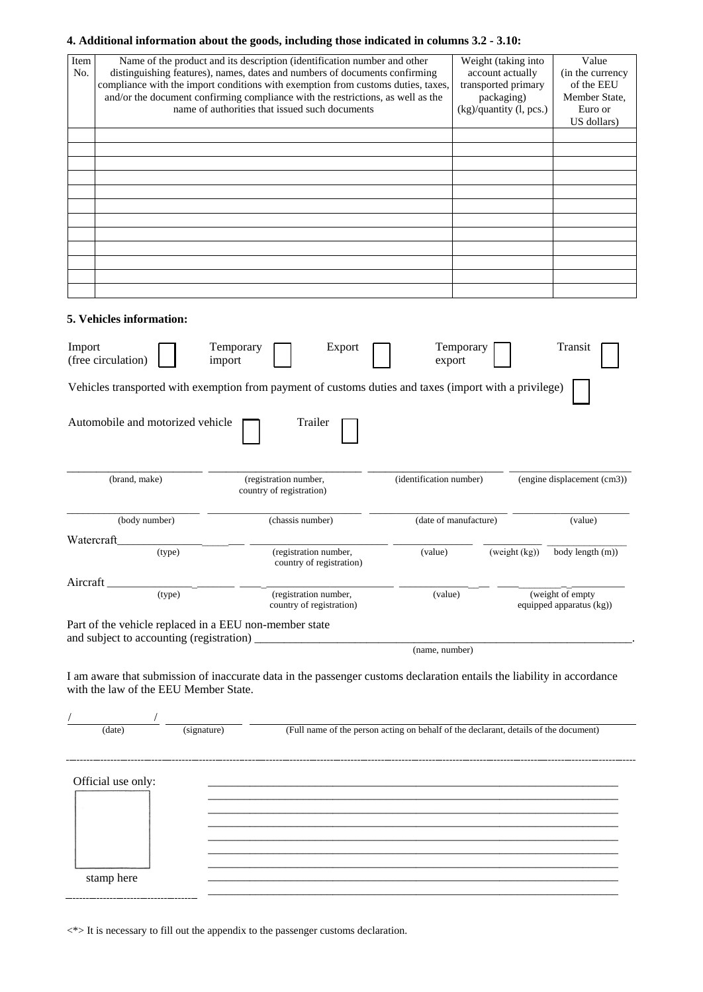## **4. Additional information about the goods, including those indicated in columns 3.2 - 3.10:**

| Item<br>No. | Name of the product and its description (identification number and other<br>distinguishing features), names, dates and numbers of documents confirming<br>compliance with the import conditions with exemption from customs duties, taxes,<br>and/or the document confirming compliance with the restrictions, as well as the<br>name of authorities that issued such documents |                     |                                                                                                                        |                         | Weight (taking into<br>account actually<br>transported primary<br>packaging)<br>(kg)/quantity (l, pcs.) |               | Value<br>(in the currency<br>of the EEU<br>Member State,<br>Euro or<br>US dollars) |
|-------------|---------------------------------------------------------------------------------------------------------------------------------------------------------------------------------------------------------------------------------------------------------------------------------------------------------------------------------------------------------------------------------|---------------------|------------------------------------------------------------------------------------------------------------------------|-------------------------|---------------------------------------------------------------------------------------------------------|---------------|------------------------------------------------------------------------------------|
|             |                                                                                                                                                                                                                                                                                                                                                                                 |                     |                                                                                                                        |                         |                                                                                                         |               |                                                                                    |
|             |                                                                                                                                                                                                                                                                                                                                                                                 |                     |                                                                                                                        |                         |                                                                                                         |               |                                                                                    |
|             |                                                                                                                                                                                                                                                                                                                                                                                 |                     |                                                                                                                        |                         |                                                                                                         |               |                                                                                    |
|             |                                                                                                                                                                                                                                                                                                                                                                                 |                     |                                                                                                                        |                         |                                                                                                         |               |                                                                                    |
|             |                                                                                                                                                                                                                                                                                                                                                                                 |                     |                                                                                                                        |                         |                                                                                                         |               |                                                                                    |
|             |                                                                                                                                                                                                                                                                                                                                                                                 |                     |                                                                                                                        |                         |                                                                                                         |               |                                                                                    |
|             |                                                                                                                                                                                                                                                                                                                                                                                 |                     |                                                                                                                        |                         |                                                                                                         |               |                                                                                    |
|             |                                                                                                                                                                                                                                                                                                                                                                                 |                     |                                                                                                                        |                         |                                                                                                         |               |                                                                                    |
|             |                                                                                                                                                                                                                                                                                                                                                                                 |                     |                                                                                                                        |                         |                                                                                                         |               |                                                                                    |
|             | 5. Vehicles information:                                                                                                                                                                                                                                                                                                                                                        |                     |                                                                                                                        |                         |                                                                                                         |               |                                                                                    |
| Import      | (free circulation)                                                                                                                                                                                                                                                                                                                                                              | Temporary<br>import | Export                                                                                                                 | export                  | Temporary                                                                                               |               | Transit                                                                            |
|             |                                                                                                                                                                                                                                                                                                                                                                                 |                     | Vehicles transported with exemption from payment of customs duties and taxes (import with a privilege)                 |                         |                                                                                                         |               |                                                                                    |
|             | Automobile and motorized vehicle                                                                                                                                                                                                                                                                                                                                                |                     | Trailer                                                                                                                |                         |                                                                                                         |               |                                                                                    |
|             | (brand, make)                                                                                                                                                                                                                                                                                                                                                                   |                     | (registration number,<br>country of registration)                                                                      | (identification number) |                                                                                                         |               | (engine displacement (cm3))                                                        |
|             | (body number)                                                                                                                                                                                                                                                                                                                                                                   |                     | (chassis number)                                                                                                       |                         | (date of manufacture)                                                                                   |               | (value)                                                                            |
| Watercraft  | (type)                                                                                                                                                                                                                                                                                                                                                                          |                     | (registration number,<br>country of registration)                                                                      | (value)                 |                                                                                                         | (weight (kg)) | body length (m))                                                                   |
| Aircraft    |                                                                                                                                                                                                                                                                                                                                                                                 |                     |                                                                                                                        |                         |                                                                                                         |               |                                                                                    |
|             | (type)                                                                                                                                                                                                                                                                                                                                                                          |                     | (registration number,<br>country of registration)                                                                      | (value)                 |                                                                                                         |               | (weight of empty)<br>equipped apparatus (kg))                                      |
|             |                                                                                                                                                                                                                                                                                                                                                                                 |                     | Part of the vehicle replaced in a EEU non-member state                                                                 |                         |                                                                                                         |               |                                                                                    |
|             |                                                                                                                                                                                                                                                                                                                                                                                 |                     |                                                                                                                        | (name, number)          |                                                                                                         |               |                                                                                    |
|             | with the law of the EEU Member State.                                                                                                                                                                                                                                                                                                                                           |                     | I am aware that submission of inaccurate data in the passenger customs declaration entails the liability in accordance |                         |                                                                                                         |               |                                                                                    |
|             | $\frac{1}{(date)}$                                                                                                                                                                                                                                                                                                                                                              | (signature)         | (Full name of the person acting on behalf of the declarant, details of the document)                                   |                         |                                                                                                         |               |                                                                                    |
|             |                                                                                                                                                                                                                                                                                                                                                                                 |                     |                                                                                                                        |                         |                                                                                                         |               |                                                                                    |
|             | Official use only:                                                                                                                                                                                                                                                                                                                                                              |                     |                                                                                                                        |                         |                                                                                                         |               |                                                                                    |
|             |                                                                                                                                                                                                                                                                                                                                                                                 |                     |                                                                                                                        |                         |                                                                                                         |               |                                                                                    |
|             |                                                                                                                                                                                                                                                                                                                                                                                 |                     |                                                                                                                        |                         |                                                                                                         |               |                                                                                    |
|             |                                                                                                                                                                                                                                                                                                                                                                                 |                     |                                                                                                                        |                         |                                                                                                         |               |                                                                                    |
|             |                                                                                                                                                                                                                                                                                                                                                                                 |                     |                                                                                                                        |                         |                                                                                                         |               |                                                                                    |

\_\_\_\_\_\_\_\_\_\_\_\_\_\_\_\_\_\_\_\_\_\_\_\_\_\_\_\_\_\_\_\_\_\_\_\_\_\_\_\_\_\_\_\_\_\_\_\_\_\_\_\_\_\_\_\_\_\_\_\_\_\_\_\_\_\_\_\_\_ \_\_\_\_\_\_\_\_\_\_\_\_\_\_\_\_\_\_\_\_\_\_\_\_\_\_\_\_\_\_\_\_\_\_\_\_\_\_\_\_\_\_\_\_\_\_\_\_\_\_\_\_\_\_\_\_\_\_\_\_\_\_\_\_\_\_\_\_\_ \_\_\_\_\_\_\_\_\_\_\_\_\_\_\_\_\_\_\_\_\_\_\_\_\_\_\_\_\_\_\_\_\_\_\_\_\_\_\_\_\_\_\_\_\_\_\_\_\_\_\_\_\_\_\_\_\_\_\_\_\_\_\_\_\_\_\_\_\_

 $\langle\!\!\!\!\!\!\rangle$  - It is necessary to fill out the appendix to the passenger customs declaration.

stamp here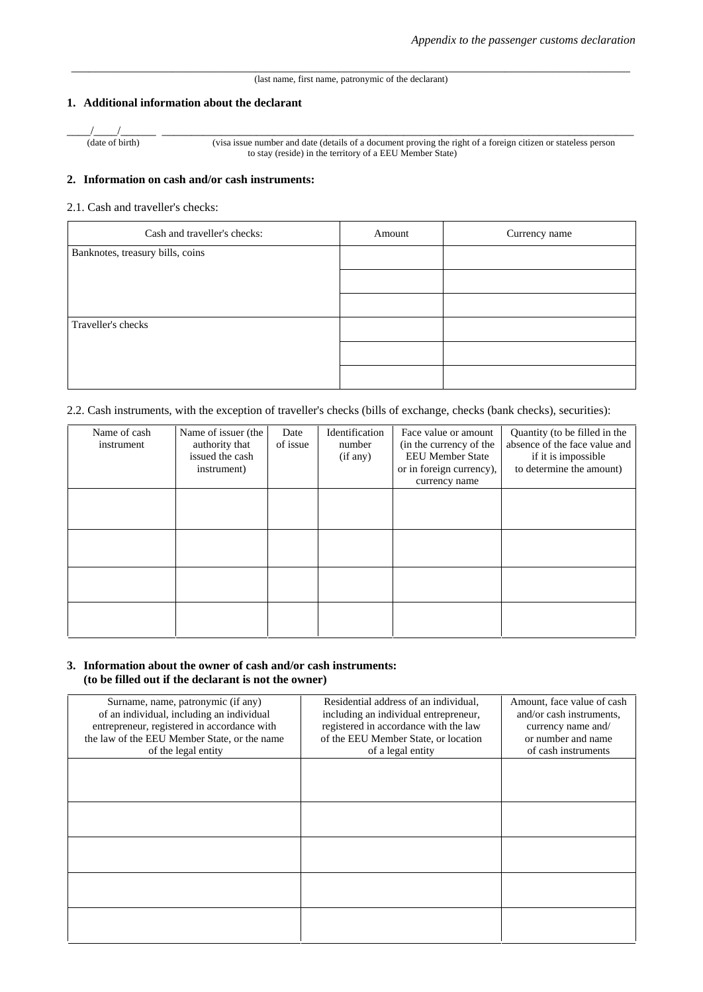#### \_\_\_\_\_\_\_\_\_\_\_\_\_\_\_\_\_\_\_\_\_\_\_\_\_\_\_\_\_\_\_\_\_\_\_\_\_\_\_\_\_\_\_\_\_\_\_\_\_\_\_\_\_\_\_\_\_\_\_\_\_\_\_\_\_\_\_\_\_\_\_\_\_\_\_\_\_\_\_\_\_\_\_\_\_\_\_\_\_\_\_\_\_\_ (last name, first name, patronymic of the declarant)

#### **1. Additional information about the declarant**

\_\_\_\_/\_\_\_\_/\_\_\_\_\_\_ \_\_\_\_\_\_\_\_\_\_\_\_\_\_\_\_\_\_\_\_\_\_\_\_\_\_\_\_\_\_\_\_\_\_\_\_\_\_\_\_\_\_\_\_\_\_\_\_\_\_\_\_\_\_\_\_\_\_\_\_\_\_\_\_\_\_\_\_\_\_\_\_\_\_\_\_\_\_\_\_

(date of birth) (visa issue number and date (details of a document proving the right of a foreign citizen or stateless person to stay (reside) in the territory of a EEU Member State)

### **2. Information on cash and/or cash instruments:**

2.1. Cash and traveller's checks:

| Cash and traveller's checks:     | Amount | Currency name |
|----------------------------------|--------|---------------|
| Banknotes, treasury bills, coins |        |               |
|                                  |        |               |
|                                  |        |               |
| Traveller's checks               |        |               |
|                                  |        |               |
|                                  |        |               |

#### 2.2. Cash instruments, with the exception of traveller's checks (bills of exchange, checks (bank checks), securities):

| Name of cash<br>instrument | Name of issuer (the<br>authority that<br>issued the cash<br>instrument) | Date<br>of issue | Identification<br>number<br>(if any) | Face value or amount<br>(in the currency of the<br><b>EEU Member State</b><br>or in foreign currency),<br>currency name | Quantity (to be filled in the<br>absence of the face value and<br>if it is impossible<br>to determine the amount) |
|----------------------------|-------------------------------------------------------------------------|------------------|--------------------------------------|-------------------------------------------------------------------------------------------------------------------------|-------------------------------------------------------------------------------------------------------------------|
|                            |                                                                         |                  |                                      |                                                                                                                         |                                                                                                                   |
|                            |                                                                         |                  |                                      |                                                                                                                         |                                                                                                                   |
|                            |                                                                         |                  |                                      |                                                                                                                         |                                                                                                                   |
|                            |                                                                         |                  |                                      |                                                                                                                         |                                                                                                                   |

#### **3. Information about the owner of cash and/or cash instruments: (to be filled out if the declarant is not the owner)**

| Surname, name, patronymic (if any)<br>of an individual, including an individual<br>entrepreneur, registered in accordance with<br>the law of the EEU Member State, or the name<br>of the legal entity | Residential address of an individual,<br>including an individual entrepreneur,<br>registered in accordance with the law<br>of the EEU Member State, or location<br>of a legal entity | Amount, face value of cash<br>and/or cash instruments,<br>currency name and/<br>or number and name<br>of cash instruments |
|-------------------------------------------------------------------------------------------------------------------------------------------------------------------------------------------------------|--------------------------------------------------------------------------------------------------------------------------------------------------------------------------------------|---------------------------------------------------------------------------------------------------------------------------|
|                                                                                                                                                                                                       |                                                                                                                                                                                      |                                                                                                                           |
|                                                                                                                                                                                                       |                                                                                                                                                                                      |                                                                                                                           |
|                                                                                                                                                                                                       |                                                                                                                                                                                      |                                                                                                                           |
|                                                                                                                                                                                                       |                                                                                                                                                                                      |                                                                                                                           |
|                                                                                                                                                                                                       |                                                                                                                                                                                      |                                                                                                                           |